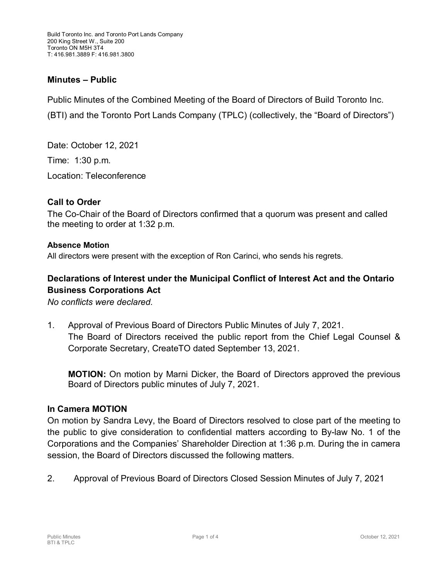# **Minutes – Public**

Public Minutes of the Combined Meeting of the Board of Directors of Build Toronto Inc. (BTI) and the Toronto Port Lands Company (TPLC) (collectively, the "Board of Directors")

Date: October 12, 2021 Time: 1:30 p.m. Location: Teleconference

## **Call to Order**

The Co-Chair of the Board of Directors confirmed that a quorum was present and called the meeting to order at 1:32 p.m.

#### **Absence Motion**

All directors were present with the exception of Ron Carinci, who sends his regrets.

# **Declarations of Interest under the Municipal Conflict of Interest Act and the Ontario Business Corporations Act**

*No conflicts were declared.*

1. Approval of Previous Board of Directors Public Minutes of July 7, 2021. The Board of Directors received the public report from the Chief Legal Counsel & Corporate Secretary, CreateTO dated September 13, 2021.

**MOTION:** On motion by Marni Dicker, the Board of Directors approved the previous Board of Directors public minutes of July 7, 2021.

### **In Camera MOTION**

On motion by Sandra Levy, the Board of Directors resolved to close part of the meeting to the public to give consideration to confidential matters according to By-law No. 1 of the Corporations and the Companies' Shareholder Direction at 1:36 p.m. During the in camera session, the Board of Directors discussed the following matters.

2. Approval of Previous Board of Directors Closed Session Minutes of July 7, 2021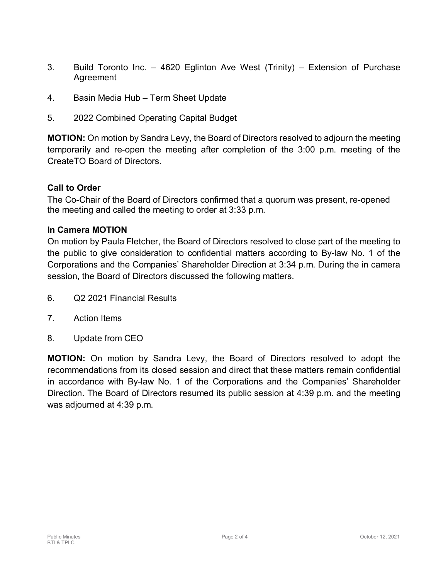- 3. Build Toronto Inc. 4620 Eglinton Ave West (Trinity) Extension of Purchase Agreement
- 4. Basin Media Hub Term Sheet Update
- 5. 2022 Combined Operating Capital Budget

**MOTION:** On motion by Sandra Levy, the Board of Directors resolved to adjourn the meeting temporarily and re-open the meeting after completion of the 3:00 p.m. meeting of the CreateTO Board of Directors.

## **Call to Order**

The Co-Chair of the Board of Directors confirmed that a quorum was present, re-opened the meeting and called the meeting to order at 3:33 p.m.

### **In Camera MOTION**

On motion by Paula Fletcher, the Board of Directors resolved to close part of the meeting to the public to give consideration to confidential matters according to By-law No. 1 of the Corporations and the Companies' Shareholder Direction at 3:34 p.m. During the in camera session, the Board of Directors discussed the following matters.

- 6. Q2 2021 Financial Results
- 7. Action Items
- 8. Update from CEO

**MOTION:** On motion by Sandra Levy, the Board of Directors resolved to adopt the recommendations from its closed session and direct that these matters remain confidential in accordance with By-law No. 1 of the Corporations and the Companies' Shareholder Direction. The Board of Directors resumed its public session at 4:39 p.m. and the meeting was adjourned at 4:39 p.m.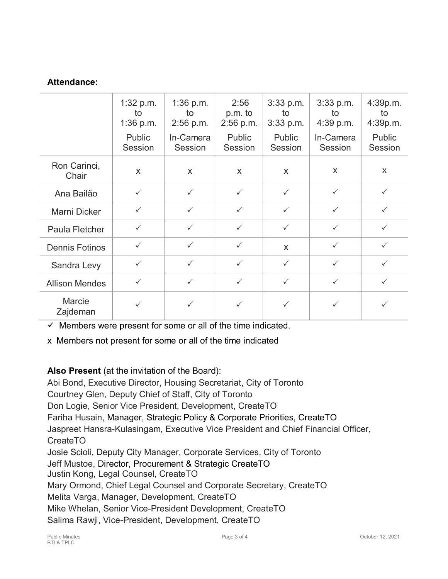# **Attendance:**

|                           | $1:32$ p.m.<br>to<br>1:36 p.m.<br>Public<br>Session | $1:36$ p.m.<br>to<br>$2:56$ p.m.<br>In-Camera<br>Session | 2:56<br>p.m. to<br>$2:56$ p.m.<br>Public<br>Session | $3:33$ p.m.<br>to<br>$3:33$ p.m.<br>Public<br>Session | $3:33$ p.m.<br>to<br>4:39 p.m.<br>In-Camera<br>Session | 4:39p.m.<br>to<br>4:39p.m.<br>Public<br>Session |
|---------------------------|-----------------------------------------------------|----------------------------------------------------------|-----------------------------------------------------|-------------------------------------------------------|--------------------------------------------------------|-------------------------------------------------|
| Ron Carinci,<br>Chair     | X                                                   | X                                                        | X                                                   | X                                                     | $\mathsf{x}$                                           | $\mathsf{x}$                                    |
| Ana Bailão                | $\checkmark$                                        | $\checkmark$                                             | $\checkmark$                                        | $\checkmark$                                          | $\checkmark$                                           | $\checkmark$                                    |
| Marni Dicker              | $\checkmark$                                        | $\checkmark$                                             | $\checkmark$                                        | $\checkmark$                                          | $\checkmark$                                           | $\checkmark$                                    |
| Paula Fletcher            | $\checkmark$                                        | $\checkmark$                                             | $\checkmark$                                        | $\checkmark$                                          | $\checkmark$                                           | $\checkmark$                                    |
| <b>Dennis Fotinos</b>     | $\checkmark$                                        | $\checkmark$                                             | $\checkmark$                                        | $\mathsf{x}$                                          | $\checkmark$                                           | $\checkmark$                                    |
| Sandra Levy               | $\checkmark$                                        | $\checkmark$                                             | $\checkmark$                                        | $\checkmark$                                          | $\checkmark$                                           | $\checkmark$                                    |
| <b>Allison Mendes</b>     | $\checkmark$                                        | $\checkmark$                                             | $\checkmark$                                        | $\checkmark$                                          | $\checkmark$                                           | $\checkmark$                                    |
| <b>Marcie</b><br>Zajdeman | $\checkmark$                                        | $\checkmark$                                             | $\checkmark$                                        | $\checkmark$                                          | $\checkmark$                                           | $\checkmark$                                    |

 $\checkmark$  Members were present for some or all of the time indicated.

x Members not present for some or all of the time indicated

# **Also Present** (at the invitation of the Board):

Abi Bond, Executive Director, Housing Secretariat, City of Toronto Courtney Glen, Deputy Chief of Staff, City of Toronto Don Logie, Senior Vice President, Development, CreateTO Fariha Husain, Manager, Strategic Policy & Corporate Priorities, CreateTO Jaspreet Hansra-Kulasingam, Executive Vice President and Chief Financial Officer, CreateTO Josie Scioli, Deputy City Manager, Corporate Services, City of Toronto Jeff Mustoe, Director, Procurement & Strategic CreateTO Justin Kong, Legal Counsel, CreateTO Mary Ormond, Chief Legal Counsel and Corporate Secretary, CreateTO Melita Varga, Manager, Development, CreateTO Mike Whelan, Senior Vice-President Development, CreateTO Salima Rawji, Vice-President, Development, CreateTO